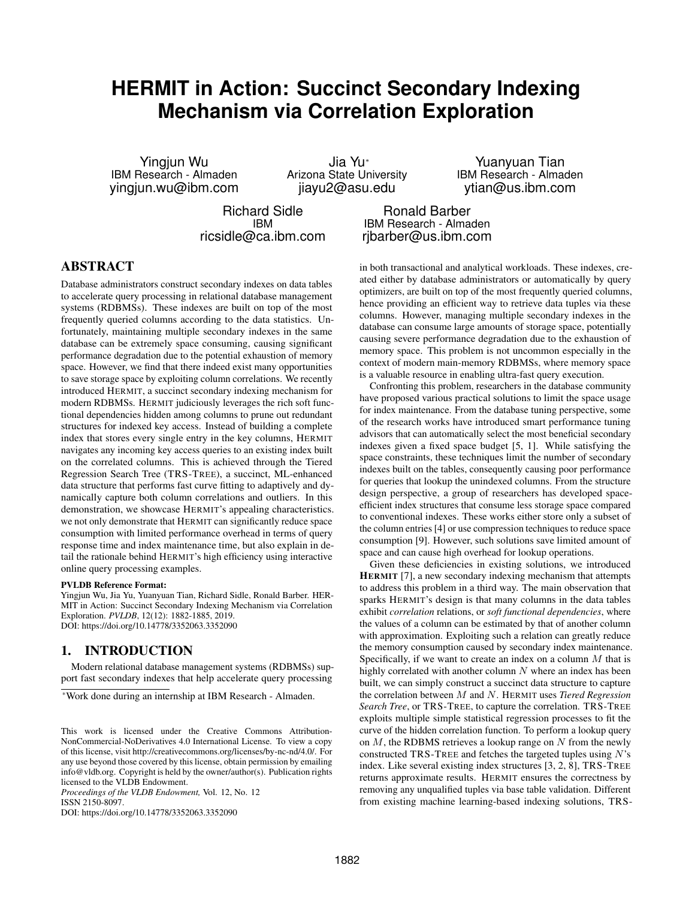# **HERMIT in Action: Succinct Secondary Indexing Mechanism via Correlation Exploration**

Yingjun Wu<br>IBM Research - Almaden Arizona State University IBM Research - Almaden BM Research - Almad [yingjun.wu@ibm.com](mailto:yingjun.wu@ibm.com) [jiayu2@asu.edu](mailto:jiayu2@asu.edu) [ytian@us.ibm.com](mailto:ytian@us.ibm.com)

IBM Research - Almaden Arizona State University IBM Research - Almaden

Richard Sidle **Ronald Barber**<br>IBM Besearch - Alma IBM IBM Research - Almaden<br>ricsidle@ca.ibm.com ibarber@us.ibm.com ribarber@us.ibm.com

## ABSTRACT

Database administrators construct secondary indexes on data tables to accelerate query processing in relational database management systems (RDBMSs). These indexes are built on top of the most frequently queried columns according to the data statistics. Unfortunately, maintaining multiple secondary indexes in the same database can be extremely space consuming, causing significant performance degradation due to the potential exhaustion of memory space. However, we find that there indeed exist many opportunities to save storage space by exploiting column correlations. We recently introduced HERMIT, a succinct secondary indexing mechanism for modern RDBMSs. HERMIT judiciously leverages the rich soft functional dependencies hidden among columns to prune out redundant structures for indexed key access. Instead of building a complete index that stores every single entry in the key columns, HERMIT navigates any incoming key access queries to an existing index built on the correlated columns. This is achieved through the Tiered Regression Search Tree (TRS-TREE), a succinct, ML-enhanced data structure that performs fast curve fitting to adaptively and dynamically capture both column correlations and outliers. In this demonstration, we showcase HERMIT's appealing characteristics. we not only demonstrate that HERMIT can significantly reduce space consumption with limited performance overhead in terms of query response time and index maintenance time, but also explain in detail the rationale behind HERMIT's high efficiency using interactive online query processing examples.

#### PVLDB Reference Format:

Yingjun Wu, Jia Yu, Yuanyuan Tian, Richard Sidle, Ronald Barber. HER-MIT in Action: Succinct Secondary Indexing Mechanism via Correlation Exploration. *PVLDB*, 12(12): 1882-1885, 2019. DOI: https://doi.org/10.14778/3352063.3352090

## 1. INTRODUCTION

Modern relational database management systems (RDBMSs) support fast secondary indexes that help accelerate query processing

*Proceedings of the VLDB Endowment,* Vol. 12, No. 12 ISSN 2150-8097.

DOI: https://doi.org/10.14778/3352063.3352090

in both transactional and analytical workloads. These indexes, created either by database administrators or automatically by query optimizers, are built on top of the most frequently queried columns, hence providing an efficient way to retrieve data tuples via these columns. However, managing multiple secondary indexes in the database can consume large amounts of storage space, potentially causing severe performance degradation due to the exhaustion of memory space. This problem is not uncommon especially in the context of modern main-memory RDBMSs, where memory space is a valuable resource in enabling ultra-fast query execution.

Confronting this problem, researchers in the database community have proposed various practical solutions to limit the space usage for index maintenance. From the database tuning perspective, some of the research works have introduced smart performance tuning advisors that can automatically select the most beneficial secondary indexes given a fixed space budget [\[5,](#page-3-0) [1\]](#page-3-1). While satisfying the space constraints, these techniques limit the number of secondary indexes built on the tables, consequently causing poor performance for queries that lookup the unindexed columns. From the structure design perspective, a group of researchers has developed spaceefficient index structures that consume less storage space compared to conventional indexes. These works either store only a subset of the column entries [\[4\]](#page-3-2) or use compression techniques to reduce space consumption [\[9\]](#page-3-3). However, such solutions save limited amount of space and can cause high overhead for lookup operations.

Given these deficiencies in existing solutions, we introduced HERMIT [\[7\]](#page-3-4), a new secondary indexing mechanism that attempts to address this problem in a third way. The main observation that sparks HERMIT's design is that many columns in the data tables exhibit *correlation* relations, or *soft functional dependencies*, where the values of a column can be estimated by that of another column with approximation. Exploiting such a relation can greatly reduce the memory consumption caused by secondary index maintenance. Specifically, if we want to create an index on a column  $M$  that is highly correlated with another column  $N$  where an index has been built, we can simply construct a succinct data structure to capture the correlation between M and N. HERMIT uses *Tiered Regression Search Tree*, or TRS-TREE, to capture the correlation. TRS-TREE exploits multiple simple statistical regression processes to fit the curve of the hidden correlation function. To perform a lookup query on  $M$ , the RDBMS retrieves a lookup range on  $N$  from the newly constructed TRS-TREE and fetches the targeted tuples using  $N$ 's index. Like several existing index structures [\[3,](#page-3-5) [2,](#page-3-6) [8\]](#page-3-7), TRS-TREE returns approximate results. HERMIT ensures the correctness by removing any unqualified tuples via base table validation. Different from existing machine learning-based indexing solutions, TRS-

<sup>\*</sup>Work done during an internship at IBM Research - Almaden.

This work is licensed under the Creative Commons Attribution-NonCommercial-NoDerivatives 4.0 International License. To view a copy of this license, visit http://creativecommons.org/licenses/by-nc-nd/4.0/. For any use beyond those covered by this license, obtain permission by emailing info@vldb.org. Copyright is held by the owner/author(s). Publication rights licensed to the VLDB Endowment.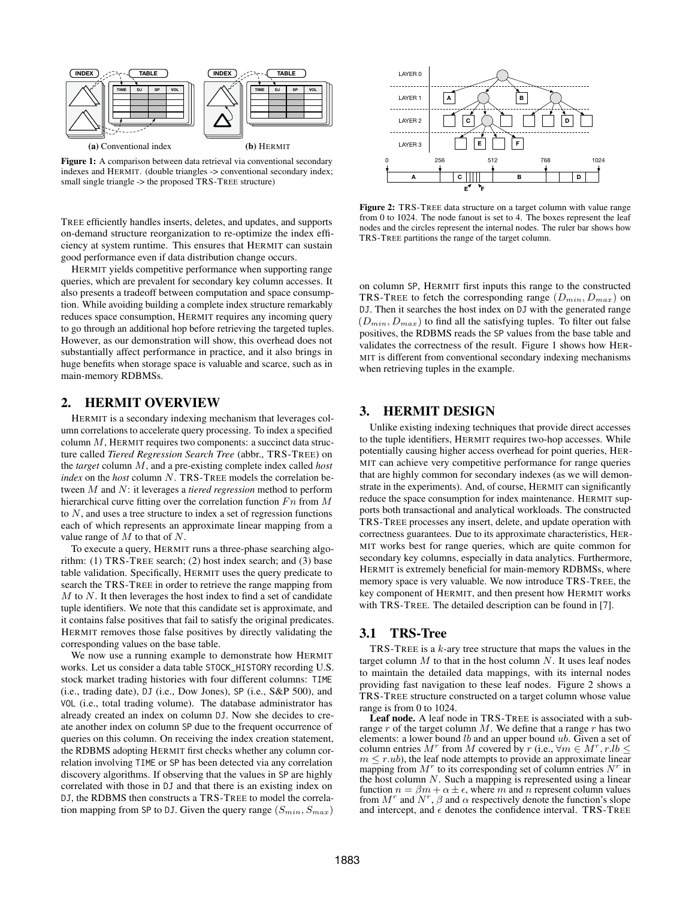<span id="page-1-0"></span>

Figure 1: A comparison between data retrieval via conventional secondary indexes and HERMIT. (double triangles -> conventional secondary index; small single triangle -> the proposed TRS-TREE structure)

TREE efficiently handles inserts, deletes, and updates, and supports on-demand structure reorganization to re-optimize the index efficiency at system runtime. This ensures that HERMIT can sustain good performance even if data distribution change occurs.

HERMIT yields competitive performance when supporting range queries, which are prevalent for secondary key column accesses. It also presents a tradeoff between computation and space consumption. While avoiding building a complete index structure remarkably reduces space consumption, HERMIT requires any incoming query to go through an additional hop before retrieving the targeted tuples. However, as our demonstration will show, this overhead does not substantially affect performance in practice, and it also brings in huge benefits when storage space is valuable and scarce, such as in main-memory RDBMSs.

#### 2. HERMIT OVERVIEW

HERMIT is a secondary indexing mechanism that leverages column correlations to accelerate query processing. To index a specified column  $M$ , HERMIT requires two components: a succinct data structure called *Tiered Regression Search Tree* (abbr., TRS-TREE) on the *target* column M, and a pre-existing complete index called *host index* on the *host* column N. TRS-TREE models the correlation between M and N: it leverages a *tiered regression* method to perform hierarchical curve fitting over the correlation function  $Fn$  from  $M$ to  $N$ , and uses a tree structure to index a set of regression functions each of which represents an approximate linear mapping from a value range of  $M$  to that of  $N$ .

To execute a query, HERMIT runs a three-phase searching algorithm: (1) TRS-TREE search; (2) host index search; and (3) base table validation. Specifically, HERMIT uses the query predicate to search the TRS-TREE in order to retrieve the range mapping from  $M$  to  $N$ . It then leverages the host index to find a set of candidate tuple identifiers. We note that this candidate set is approximate, and it contains false positives that fail to satisfy the original predicates. HERMIT removes those false positives by directly validating the corresponding values on the base table.

We now use a running example to demonstrate how HERMIT works. Let us consider a data table STOCK\_HISTORY recording U.S. stock market trading histories with four different columns: TIME (i.e., trading date), DJ (i.e., Dow Jones), SP (i.e., S&P 500), and VOL (i.e., total trading volume). The database administrator has already created an index on column DJ. Now she decides to create another index on column SP due to the frequent occurrence of queries on this column. On receiving the index creation statement, the RDBMS adopting HERMIT first checks whether any column correlation involving TIME or SP has been detected via any correlation discovery algorithms. If observing that the values in SP are highly correlated with those in DJ and that there is an existing index on DJ, the RDBMS then constructs a TRS-TREE to model the correlation mapping from SP to DJ. Given the query range  $(S_{min}, S_{max})$ 

<span id="page-1-1"></span>

Figure 2: TRS-TREE data structure on a target column with value range from 0 to 1024. The node fanout is set to 4. The boxes represent the leaf nodes and the circles represent the internal nodes. The ruler bar shows how TRS-TREE partitions the range of the target column.

on column SP, HERMIT first inputs this range to the constructed TRS-TREE to fetch the corresponding range  $(D_{min}, D_{max})$  on DJ. Then it searches the host index on DJ with the generated range  $(D_{min}, D_{max})$  to find all the satisfying tuples. To filter out false positives, the RDBMS reads the SP values from the base table and validates the correctness of the result. [Figure 1](#page-1-0) shows how HER-MIT is different from conventional secondary indexing mechanisms when retrieving tuples in the example.

## 3. HERMIT DESIGN

Unlike existing indexing techniques that provide direct accesses to the tuple identifiers, HERMIT requires two-hop accesses. While potentially causing higher access overhead for point queries, HER-MIT can achieve very competitive performance for range queries that are highly common for secondary indexes (as we will demonstrate in the experiments). And, of course, HERMIT can significantly reduce the space consumption for index maintenance. HERMIT supports both transactional and analytical workloads. The constructed TRS-TREE processes any insert, delete, and update operation with correctness guarantees. Due to its approximate characteristics, HER-MIT works best for range queries, which are quite common for secondary key columns, especially in data analytics. Furthermore, HERMIT is extremely beneficial for main-memory RDBMSs, where memory space is very valuable. We now introduce TRS-TREE, the key component of HERMIT, and then present how HERMIT works with TRS-TREE. The detailed description can be found in [\[7\]](#page-3-4).

#### 3.1 TRS-Tree

TRS-TREE is a  $k$ -ary tree structure that maps the values in the target column  $M$  to that in the host column  $N$ . It uses leaf nodes to maintain the detailed data mappings, with its internal nodes providing fast navigation to these leaf nodes. [Figure 2](#page-1-1) shows a TRS-TREE structure constructed on a target column whose value range is from 0 to 1024.

Leaf node. A leaf node in TRS-TREE is associated with a subrange  $r$  of the target column  $M$ . We define that a range  $r$  has two elements: a lower bound  $lb$  and an upper bound  $ub$ . Given a set of column entries  $M^r$  from M covered by  $r$  (i.e.,  $\forall m \in M^r, r.lb \leq$  $m \le r.ub$ , the leaf node attempts to provide an approximate linear mapping from  $M<sup>r</sup>$  to its corresponding set of column entries  $N<sup>r</sup>$  in the host column  $N$ . Such a mapping is represented using a linear function  $n = \beta m + \alpha \pm \epsilon$ , where m and n represent column values from  $M^r$  and  $N^r$ ,  $\beta$  and  $\alpha$  respectively denote the function's slope and intercept, and  $\epsilon$  denotes the confidence interval. TRS-TREE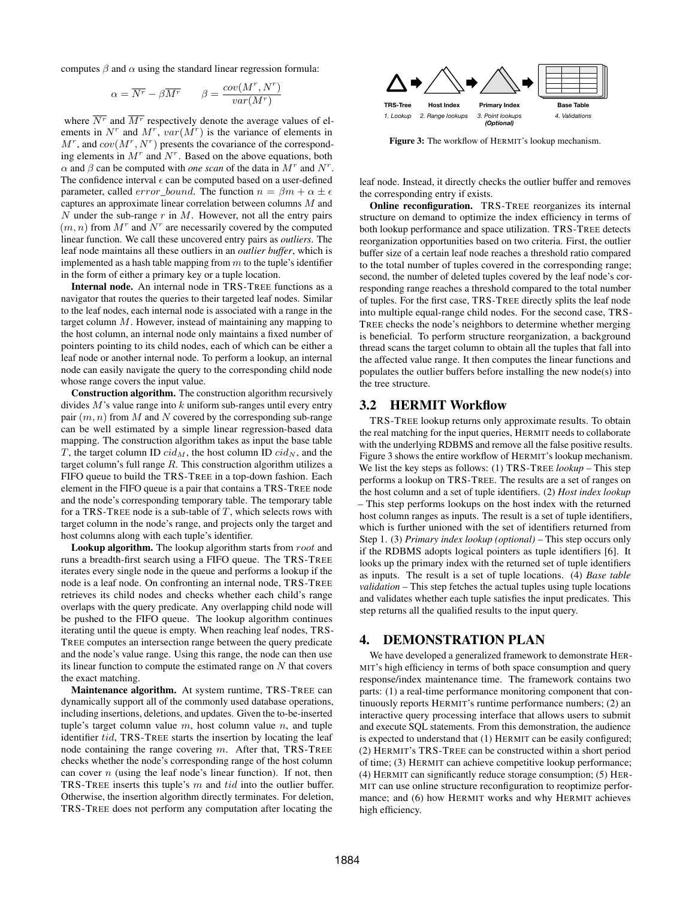computes  $\beta$  and  $\alpha$  using the standard linear regression formula:

$$
\alpha = \overline{N^r} - \beta \overline{M^r} \qquad \beta = \frac{cov(M^r, N^r)}{var(M^r)}
$$

where  $\overline{N^r}$  and  $\overline{M^r}$  respectively denote the average values of elements in  $N^r$  and  $M^r$ ,  $var(M^r)$  is the variance of elements in  $M^r$ , and  $cov(M^r, N^r)$  presents the covariance of the corresponding elements in  $M<sup>r</sup>$  and  $N<sup>r</sup>$ . Based on the above equations, both  $\alpha$  and  $\beta$  can be computed with *one scan* of the data in  $M^r$  and  $N^r$ . The confidence interval  $\epsilon$  can be computed based on a user-defined parameter, called *error\_bound*. The function  $n = \beta m + \alpha \pm \epsilon$ captures an approximate linear correlation between columns M and N under the sub-range  $r$  in M. However, not all the entry pairs  $(m, n)$  from  $M^r$  and  $N^r$  are necessarily covered by the computed linear function. We call these uncovered entry pairs as *outliers*. The leaf node maintains all these outliers in an *outlier buffer*, which is implemented as a hash table mapping from  $m$  to the tuple's identifier in the form of either a primary key or a tuple location.

Internal node. An internal node in TRS-TREE functions as a navigator that routes the queries to their targeted leaf nodes. Similar to the leaf nodes, each internal node is associated with a range in the target column  $M$ . However, instead of maintaining any mapping to the host column, an internal node only maintains a fixed number of pointers pointing to its child nodes, each of which can be either a leaf node or another internal node. To perform a lookup, an internal node can easily navigate the query to the corresponding child node whose range covers the input value.

Construction algorithm. The construction algorithm recursively divides  $M$ 's value range into  $k$  uniform sub-ranges until every entry pair  $(m, n)$  from M and N covered by the corresponding sub-range can be well estimated by a simple linear regression-based data mapping. The construction algorithm takes as input the base table T, the target column ID  $cid_M$ , the host column ID  $cid_N$ , and the target column's full range  $R$ . This construction algorithm utilizes a FIFO queue to build the TRS-TREE in a top-down fashion. Each element in the FIFO queue is a pair that contains a TRS-TREE node and the node's corresponding temporary table. The temporary table for a TRS-TREE node is a sub-table of  $T$ , which selects rows with target column in the node's range, and projects only the target and host columns along with each tuple's identifier.

**Lookup algorithm.** The lookup algorithm starts from  $root$  and runs a breadth-first search using a FIFO queue. The TRS-TREE iterates every single node in the queue and performs a lookup if the node is a leaf node. On confronting an internal node, TRS-TREE retrieves its child nodes and checks whether each child's range overlaps with the query predicate. Any overlapping child node will be pushed to the FIFO queue. The lookup algorithm continues iterating until the queue is empty. When reaching leaf nodes, TRS-TREE computes an intersection range between the query predicate and the node's value range. Using this range, the node can then use its linear function to compute the estimated range on  $N$  that covers the exact matching.

Maintenance algorithm. At system runtime, TRS-TREE can dynamically support all of the commonly used database operations, including insertions, deletions, and updates. Given the to-be-inserted tuple's target column value  $m$ , host column value  $n$ , and tuple identifier tid, TRS-TREE starts the insertion by locating the leaf node containing the range covering  $m$ . After that, TRS-TREE checks whether the node's corresponding range of the host column can cover  $n$  (using the leaf node's linear function). If not, then TRS-TREE inserts this tuple's m and tid into the outlier buffer. Otherwise, the insertion algorithm directly terminates. For deletion,

<span id="page-2-0"></span>

Figure 3: The workflow of HERMIT's lookup mechanism.

leaf node. Instead, it directly checks the outlier buffer and removes the corresponding entry if exists.

Online reconfiguration. TRS-TREE reorganizes its internal structure on demand to optimize the index efficiency in terms of both lookup performance and space utilization. TRS-TREE detects reorganization opportunities based on two criteria. First, the outlier buffer size of a certain leaf node reaches a threshold ratio compared to the total number of tuples covered in the corresponding range; second, the number of deleted tuples covered by the leaf node's corresponding range reaches a threshold compared to the total number of tuples. For the first case, TRS-TREE directly splits the leaf node into multiple equal-range child nodes. For the second case, TRS-TREE checks the node's neighbors to determine whether merging is beneficial. To perform structure reorganization, a background thread scans the target column to obtain all the tuples that fall into the affected value range. It then computes the linear functions and populates the outlier buffers before installing the new node(s) into the tree structure.

## 3.2 HERMIT Workflow

New York 15 Trees not perform any computation after locating the main interaction after locating the main interaction after the main interaction after the main interaction after the main interaction after the main interact TRS-TREE lookup returns only approximate results. To obtain the real matching for the input queries, HERMIT needs to collaborate with the underlying RDBMS and remove all the false positive results. [Figure 3](#page-2-0) shows the entire workflow of HERMIT's lookup mechanism. We list the key steps as follows: (1) TRS-TREE *lookup* – This step performs a lookup on TRS-TREE. The results are a set of ranges on the host column and a set of tuple identifiers. (2) *Host index lookup* – This step performs lookups on the host index with the returned host column ranges as inputs. The result is a set of tuple identifiers, which is further unioned with the set of identifiers returned from Step 1. (3) *Primary index lookup (optional)* – This step occurs only if the RDBMS adopts logical pointers as tuple identifiers [\[6\]](#page-3-8). It looks up the primary index with the returned set of tuple identifiers as inputs. The result is a set of tuple locations. (4) *Base table validation* – This step fetches the actual tuples using tuple locations and validates whether each tuple satisfies the input predicates. This step returns all the qualified results to the input query.

#### 4. DEMONSTRATION PLAN

We have developed a generalized framework to demonstrate HER-MIT's high efficiency in terms of both space consumption and query response/index maintenance time. The framework contains two parts: (1) a real-time performance monitoring component that continuously reports HERMIT's runtime performance numbers; (2) an interactive query processing interface that allows users to submit and execute SQL statements. From this demonstration, the audience is expected to understand that (1) HERMIT can be easily configured; (2) HERMIT's TRS-TREE can be constructed within a short period of time; (3) HERMIT can achieve competitive lookup performance; (4) HERMIT can significantly reduce storage consumption; (5) HER-MIT can use online structure reconfiguration to reoptimize performance; and (6) how HERMIT works and why HERMIT achieves high efficiency.